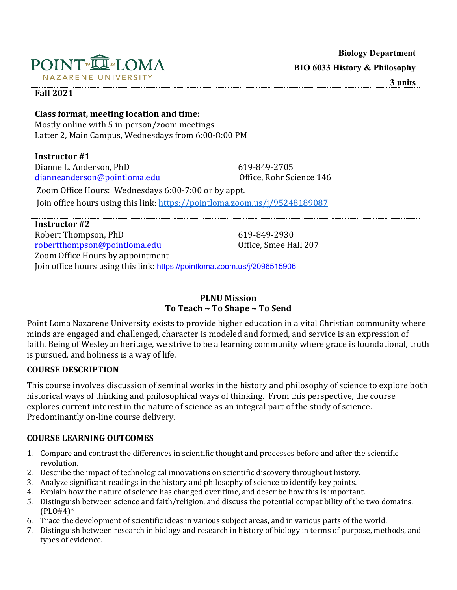

**Biology Department** 

### **PLNU Mission To Teach ~ To Shape ~ To Send**

Point Loma Nazarene University exists to provide higher education in a vital Christian community where minds are engaged and challenged, character is modeled and formed, and service is an expression of faith. Being of Wesleyan heritage, we strive to be a learning community where grace is foundational, truth is pursued, and holiness is a way of life.

### **COURSE DESCRIPTION**

This course involves discussion of seminal works in the history and philosophy of science to explore both historical ways of thinking and philosophical ways of thinking. From this perspective, the course explores current interest in the nature of science as an integral part of the study of science. Predominantly on-line course delivery.

### **COURSE LEARNING OUTCOMES**

- 1. Compare and contrast the differences in scientific thought and processes before and after the scientific revolution.
- 2. Describe the impact of technological innovations on scientific discovery throughout history.
- 3. Analyze significant readings in the history and philosophy of science to identify key points.
- 4. Explain how the nature of science has changed over time, and describe how this is important.
- 5. Distinguish between science and faith/religion, and discuss the potential compatibility of the two domains. (PLO#4)\*
- 6. Trace the development of scientific ideas in various subject areas, and in various parts of the world.
- 7. Distinguish between research in biology and research in history of biology in terms of purpose, methods, and types of evidence.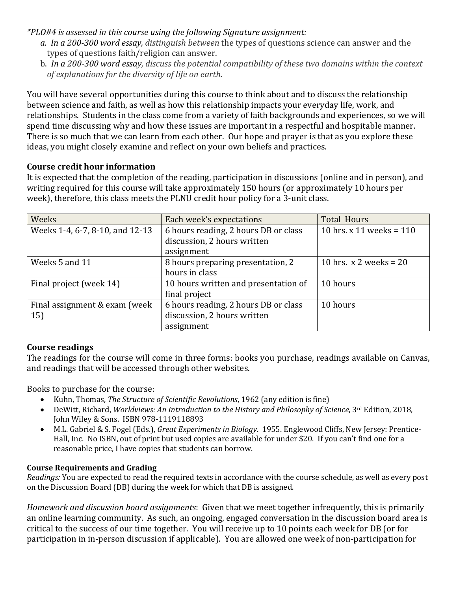*\*PLO#4 is assessed in this course using the following Signature assignment:* 

- *a. In a 200-300 word essay, distinguish between* the types of questions science can answer and the types of questions faith/religion can answer.
- b. *In a 200-300 word essay, discuss the potential compatibility of these two domains within the context of explanations for the diversity of life on earth.*

You will have several opportunities during this course to think about and to discuss the relationship between science and faith, as well as how this relationship impacts your everyday life, work, and relationships. Students in the class come from a variety of faith backgrounds and experiences, so we will spend time discussing why and how these issues are important in a respectful and hospitable manner. There is so much that we can learn from each other. Our hope and prayer is that as you explore these ideas, you might closely examine and reflect on your own beliefs and practices.

### **Course credit hour information**

It is expected that the completion of the reading, participation in discussions (online and in person), and writing required for this course will take approximately 150 hours (or approximately 10 hours per week), therefore, this class meets the PLNU credit hour policy for a 3-unit class.

| Weeks                           | Each week's expectations             | <b>Total Hours</b>         |
|---------------------------------|--------------------------------------|----------------------------|
| Weeks 1-4, 6-7, 8-10, and 12-13 | 6 hours reading, 2 hours DB or class | 10 hrs. x 11 weeks = $110$ |
|                                 | discussion, 2 hours written          |                            |
|                                 | assignment                           |                            |
| Weeks 5 and 11                  | 8 hours preparing presentation, 2    | 10 hrs. $x$ 2 weeks = 20   |
|                                 | hours in class                       |                            |
| Final project (week 14)         | 10 hours written and presentation of | 10 hours                   |
|                                 | final project                        |                            |
| Final assignment & exam (week   | 6 hours reading, 2 hours DB or class | 10 hours                   |
| 15)                             | discussion, 2 hours written          |                            |
|                                 | assignment                           |                            |

### **Course readings**

The readings for the course will come in three forms: books you purchase, readings available on Canvas, and readings that will be accessed through other websites.

Books to purchase for the course:

- Kuhn, Thomas, *The Structure of Scientific Revolutions*, 1962 (any edition is fine)
- DeWitt, Richard, *Worldviews: An Introduction to the History and Philosophy of Science*, 3rd Edition, 2018, John Wiley & Sons. ISBN 978-1119118893
- M.L. Gabriel & S. Fogel (Eds.), *Great Experiments in Biology*. 1955. Englewood Cliffs, New Jersey: Prentice-Hall, Inc. No ISBN, out of print but used copies are available for under \$20. If you can't find one for a reasonable price, I have copies that students can borrow.

### **Course Requirements and Grading**

*Readings:* You are expected to read the required texts in accordance with the course schedule, as well as every post on the Discussion Board (DB) during the week for which that DB is assigned.

*Homework and discussion board assignments*: Given that we meet together infrequently, this is primarily an online learning community. As such, an ongoing, engaged conversation in the discussion board area is critical to the success of our time together. You will receive up to 10 points each week for DB (or for participation in in-person discussion if applicable). You are allowed one week of non-participation for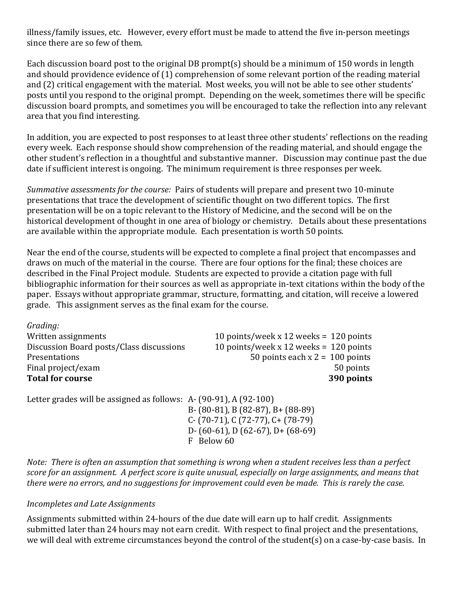illness/family issues, etc. However, every effort must be made to attend the five in-person meetings since there are so few of them.

Each discussion board post to the original DB prompt(s) should be a minimum of 150 words in length and should providence evidence of (1) comprehension of some relevant portion of the reading material and (2) critical engagement with the material. Most weeks, you will not be able to see other students' posts until you respond to the original prompt. Depending on the week, sometimes there will be specific discussion board prompts, and sometimes you will be encouraged to take the reflection into any relevant area that you find interesting.

In addition, you are expected to post responses to at least three other students' reflections on the reading every week. Each response should show comprehension of the reading material, and should engage the other student's reflection in a thoughtful and substantive manner. Discussion may continue past the due date if sufficient interest is ongoing. The minimum requirement is three responses per week.

*Summative assessments for the course:* Pairs of students will prepare and present two 10-minute presentations that trace the development of scientific thought on two different topics. The first presentation will be on a topic relevant to the History of Medicine, and the second will be on the historical development of thought in one area of biology or chemistry. Details about these presentations are available within the appropriate module. Each presentation is worth 50 points.

Near the end of the course, students will be expected to complete a final project that encompasses and draws on much of the material in the course. There are four options for the final; these choices are described in the Final Project module. Students are expected to provide a citation page with full bibliographic information for their sources as well as appropriate in-text citations within the body of the paper. Essays without appropriate grammar, structure, formatting, and citation, will receive a lowered grade. This assignment serves as the final exam for the course.

*Grading:* Written assignments<br>Discussion Board posts/Class discussions 10 points/week x 12 weeks = 120 points Discussion Board posts/Class discussions<br>Presentations 50 points each  $x$  2 = 100 points 50 points Final project/exam 50 points 50 points 50 points 50 points 50 points 50 points 50 points 50 points 50 points for  $\alpha$ **Total for course** 

Letter grades will be assigned as follows: A- (90-91), A (92-100) B- (80-81), B (82-87), B+ (88-89) C- (70-71), C (72-77), C+ (78-79) D- (60-61), D (62-67), D+ (68-69) F Below 60

*Note: There is often an assumption that something is wrong when a student receives less than a perfect score for an assignment. A perfect score is quite unusual, especially on large assignments, and means that there were no errors, and no suggestions for improvement could even be made. This is rarely the case.*

### *Incompletes and Late Assignments*

Assignments submitted within 24-hours of the due date will earn up to half credit. Assignments submitted later than 24 hours may not earn credit.With respect to final project and the presentations, we will deal with extreme circumstances beyond the control of the student(s) on a case-by-case basis. In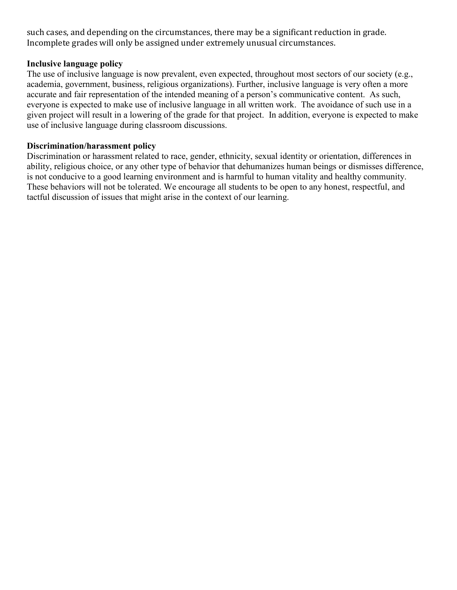such cases, and depending on the circumstances, there may be a significant reduction in grade. Incomplete grades will only be assigned under extremely unusual circumstances.

#### **Inclusive language policy**

The use of inclusive language is now prevalent, even expected, throughout most sectors of our society (e.g., academia, government, business, religious organizations). Further, inclusive language is very often a more accurate and fair representation of the intended meaning of a person's communicative content. As such, everyone is expected to make use of inclusive language in all written work. The avoidance of such use in a given project will result in a lowering of the grade for that project. In addition, everyone is expected to make use of inclusive language during classroom discussions.

#### **Discrimination/harassment policy**

Discrimination or harassment related to race, gender, ethnicity, sexual identity or orientation, differences in ability, religious choice, or any other type of behavior that dehumanizes human beings or dismisses difference, is not conducive to a good learning environment and is harmful to human vitality and healthy community. These behaviors will not be tolerated. We encourage all students to be open to any honest, respectful, and tactful discussion of issues that might arise in the context of our learning.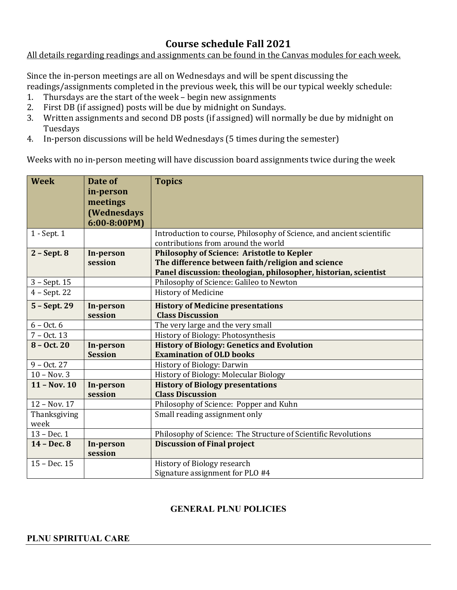# **Course schedule Fall 2021**

### All details regarding readings and assignments can be found in the Canvas modules for each week.

Since the in-person meetings are all on Wednesdays and will be spent discussing the readings/assignments completed in the previous week, this will be our typical weekly schedule:<br>1. Thursdays are the start of the week – begin new assignments

- 1. Thursdays are the start of the week begin new assignments<br>2. First DB (if assigned) posts will be due by midnight on Sunday
- 2. First DB (if assigned) posts will be due by midnight on Sundays.<br>3. Written assignments and second DB posts (if assigned) will norr
- Written assignments and second DB posts (if assigned) will normally be due by midnight on Tuesdays
- 4. In-person discussions will be held Wednesdays (5 times during the semester)

Weeks with no in-person meeting will have discussion board assignments twice during the week

| <b>Week</b>    | Date of              | <b>Topics</b>                                                                                                        |  |
|----------------|----------------------|----------------------------------------------------------------------------------------------------------------------|--|
|                | in-person            |                                                                                                                      |  |
|                | meetings             |                                                                                                                      |  |
|                | <b>(Wednesdays</b>   |                                                                                                                      |  |
|                | $6:00-8:00PM$        |                                                                                                                      |  |
| 1 - Sept. 1    |                      | Introduction to course, Philosophy of Science, and ancient scientific                                                |  |
|                |                      | contributions from around the world                                                                                  |  |
| $2 - Sept.8$   | In-person<br>session | <b>Philosophy of Science: Aristotle to Kepler</b>                                                                    |  |
|                |                      | The difference between faith/religion and science<br>Panel discussion: theologian, philosopher, historian, scientist |  |
| $3 - Sept.15$  |                      | Philosophy of Science: Galileo to Newton                                                                             |  |
| $4 - Sept. 22$ |                      | <b>History of Medicine</b>                                                                                           |  |
|                |                      |                                                                                                                      |  |
| 5 - Sept. 29   | In-person            | <b>History of Medicine presentations</b>                                                                             |  |
|                | session              | <b>Class Discussion</b>                                                                                              |  |
| $6 - Oct. 6$   |                      | The very large and the very small                                                                                    |  |
| $7 - Oct. 13$  |                      | History of Biology: Photosynthesis                                                                                   |  |
| $8 - Oct. 20$  | In-person            | <b>History of Biology: Genetics and Evolution</b>                                                                    |  |
|                | <b>Session</b>       | <b>Examination of OLD books</b>                                                                                      |  |
| $9 - Oct. 27$  |                      | <b>History of Biology: Darwin</b>                                                                                    |  |
| $10 - Nov.3$   |                      | History of Biology: Molecular Biology                                                                                |  |
| $11 - Nov. 10$ | In-person            | <b>History of Biology presentations</b>                                                                              |  |
|                | session              | <b>Class Discussion</b>                                                                                              |  |
| 12 - Nov. 17   |                      | Philosophy of Science: Popper and Kuhn                                                                               |  |
| Thanksgiving   |                      | Small reading assignment only                                                                                        |  |
| week           |                      |                                                                                                                      |  |
| $13 - Dec.1$   |                      | Philosophy of Science: The Structure of Scientific Revolutions                                                       |  |
| 14 - Dec. 8    | In-person<br>session | <b>Discussion of Final project</b>                                                                                   |  |
| 15 - Dec. 15   |                      | History of Biology research                                                                                          |  |
|                |                      | Signature assignment for PLO #4                                                                                      |  |

### **GENERAL PLNU POLICIES**

### **PLNU SPIRITUAL CARE**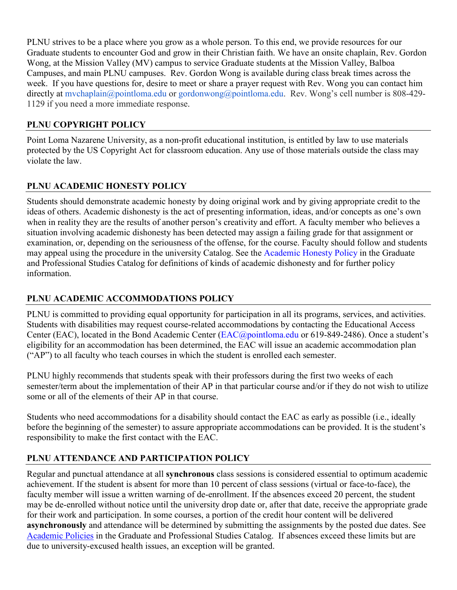PLNU strives to be a place where you grow as a whole person. To this end, we provide resources for our Graduate students to encounter God and grow in their Christian faith. We have an onsite chaplain, Rev. Gordon Wong, at the Mission Valley (MV) campus to service Graduate students at the Mission Valley, Balboa Campuses, and main PLNU campuses. Rev. Gordon Wong is available during class break times across the week. If you have questions for, desire to meet or share a prayer request with Rev. Wong you can contact him directly at [mvchaplain@pointloma.edu](mailto:mvchaplain@pointloma.edu) or [gordonwong@pointloma.edu.](mailto:gordonwong@pointloma.edu) Rev. Wong's cell number is 808-429-1129 if you need a more immediate response.

## **PLNU COPYRIGHT POLICY**

Point Loma Nazarene University, as a non-profit educational institution, is entitled by law to use materials protected by the US Copyright Act for classroom education. Any use of those materials outside the class may violate the law.

## **PLNU ACADEMIC HONESTY POLICY**

Students should demonstrate academic honesty by doing original work and by giving appropriate credit to the ideas of others. Academic dishonesty is the act of presenting information, ideas, and/or concepts as one's own when in reality they are the results of another person's creativity and effort. A faculty member who believes a situation involving academic dishonesty has been detected may assign a failing grade for that assignment or examination, or, depending on the seriousness of the offense, for the course. Faculty should follow and students may appeal using the procedure in the university Catalog. See the [Academic Honesty Policy](https://catalog.pointloma.edu/content.php?catoid=54&navoid=3048#Academic_Honesty) in the Graduate and Professional Studies Catalog for definitions of kinds of academic dishonesty and for further policy information.

### **PLNU ACADEMIC ACCOMMODATIONS POLICY**

PLNU is committed to providing equal opportunity for participation in all its programs, services, and activities. Students with disabilities may request course-related accommodations by contacting the Educational Access Center (EAC), located in the Bond Academic Center [\(EAC@pointloma.edu](mailto:EAC@pointloma.edu) or 619-849-2486). Once a student's eligibility for an accommodation has been determined, the EAC will issue an academic accommodation plan ("AP") to all faculty who teach courses in which the student is enrolled each semester.

PLNU highly recommends that students speak with their professors during the first two weeks of each semester/term about the implementation of their AP in that particular course and/or if they do not wish to utilize some or all of the elements of their AP in that course.

Students who need accommodations for a disability should contact the EAC as early as possible (i.e., ideally before the beginning of the semester) to assure appropriate accommodations can be provided. It is the student's responsibility to make the first contact with the EAC.

## **PLNU ATTENDANCE AND PARTICIPATION POLICY**

Regular and punctual attendance at all **synchronous** class sessions is considered essential to optimum academic achievement. If the student is absent for more than 10 percent of class sessions (virtual or face-to-face), the faculty member will issue a written warning of de-enrollment. If the absences exceed 20 percent, the student may be de-enrolled without notice until the university drop date or, after that date, receive the appropriate grade for their work and participation. In some courses, a portion of the credit hour content will be delivered **asynchronously** and attendance will be determined by submitting the assignments by the posted due dates. See [Academic Policies](https://catalog.pointloma.edu/content.php?catoid=54&navoid=3048#Academic_Honesty) in the Graduate and Professional Studies Catalog. If absences exceed these limits but are due to university-excused health issues, an exception will be granted.